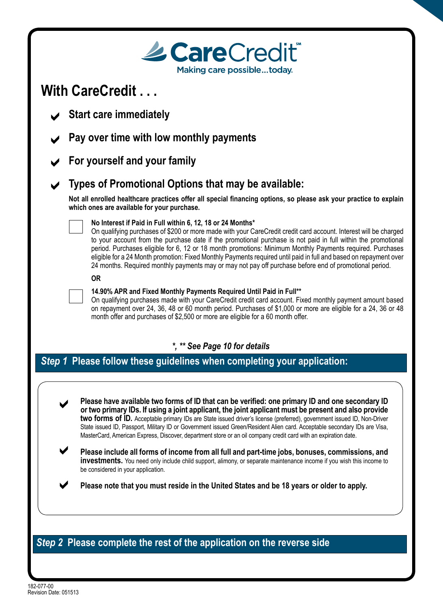| <b>Le Care</b> Credit®<br>Making care possibletoday.                                                                                                                                                                                                                                                                                                                                                                                                                                                                                                                                                                                                                                                                                                                                                                                                                                                                                                  |
|-------------------------------------------------------------------------------------------------------------------------------------------------------------------------------------------------------------------------------------------------------------------------------------------------------------------------------------------------------------------------------------------------------------------------------------------------------------------------------------------------------------------------------------------------------------------------------------------------------------------------------------------------------------------------------------------------------------------------------------------------------------------------------------------------------------------------------------------------------------------------------------------------------------------------------------------------------|
| With CareCredit                                                                                                                                                                                                                                                                                                                                                                                                                                                                                                                                                                                                                                                                                                                                                                                                                                                                                                                                       |
| <b>Start care immediately</b>                                                                                                                                                                                                                                                                                                                                                                                                                                                                                                                                                                                                                                                                                                                                                                                                                                                                                                                         |
| Pay over time with low monthly payments                                                                                                                                                                                                                                                                                                                                                                                                                                                                                                                                                                                                                                                                                                                                                                                                                                                                                                               |
| For yourself and your family                                                                                                                                                                                                                                                                                                                                                                                                                                                                                                                                                                                                                                                                                                                                                                                                                                                                                                                          |
| Types of Promotional Options that may be available:                                                                                                                                                                                                                                                                                                                                                                                                                                                                                                                                                                                                                                                                                                                                                                                                                                                                                                   |
| Not all enrolled healthcare practices offer all special financing options, so please ask your practice to explain<br>which ones are available for your purchase.                                                                                                                                                                                                                                                                                                                                                                                                                                                                                                                                                                                                                                                                                                                                                                                      |
| No Interest if Paid in Full within 6, 12, 18 or 24 Months*<br>On qualifying purchases of \$200 or more made with your CareCredit credit card account. Interest will be charged<br>to your account from the purchase date if the promotional purchase is not paid in full within the promotional<br>period. Purchases eligible for 6, 12 or 18 month promotions: Minimum Monthly Payments required. Purchases<br>eligible for a 24 Month promotion: Fixed Monthly Payments required until paid in full and based on repayment over<br>24 months. Required monthly payments may or may not pay off purchase before end of promotional period.                                                                                                                                                                                                                                                                                                           |
| <b>OR</b>                                                                                                                                                                                                                                                                                                                                                                                                                                                                                                                                                                                                                                                                                                                                                                                                                                                                                                                                             |
| 14.90% APR and Fixed Monthly Payments Required Until Paid in Full**<br>On qualifying purchases made with your CareCredit credit card account. Fixed monthly payment amount based<br>on repayment over 24, 36, 48 or 60 month period. Purchases of \$1,000 or more are eligible for a 24, 36 or 48<br>month offer and purchases of \$2,500 or more are eligible for a 60 month offer.                                                                                                                                                                                                                                                                                                                                                                                                                                                                                                                                                                  |
| *, ** See Page 10 for details                                                                                                                                                                                                                                                                                                                                                                                                                                                                                                                                                                                                                                                                                                                                                                                                                                                                                                                         |
| Step 1 Please follow these guidelines when completing your application:                                                                                                                                                                                                                                                                                                                                                                                                                                                                                                                                                                                                                                                                                                                                                                                                                                                                               |
| Please have available two forms of ID that can be verified: one primary ID and one secondary ID<br>or two primary IDs. If using a joint applicant, the joint applicant must be present and also provide<br>two forms of ID. Acceptable primary IDs are State issued driver's license (preferred), government issued ID, Non-Driver<br>State issued ID, Passport, Military ID or Government issued Green/Resident Alien card. Acceptable secondary IDs are Visa,<br>MasterCard, American Express, Discover, department store or an oil company credit card with an expiration date.<br>Please include all forms of income from all full and part-time jobs, bonuses, commissions, and<br><b>investments.</b> You need only include child support, alimony, or separate maintenance income if you wish this income to<br>be considered in your application.<br>Please note that you must reside in the United States and be 18 years or older to apply. |
|                                                                                                                                                                                                                                                                                                                                                                                                                                                                                                                                                                                                                                                                                                                                                                                                                                                                                                                                                       |
| Step 2 Please complete the rest of the application on the reverse side                                                                                                                                                                                                                                                                                                                                                                                                                                                                                                                                                                                                                                                                                                                                                                                                                                                                                |

182-077-00 Revision Date: 051513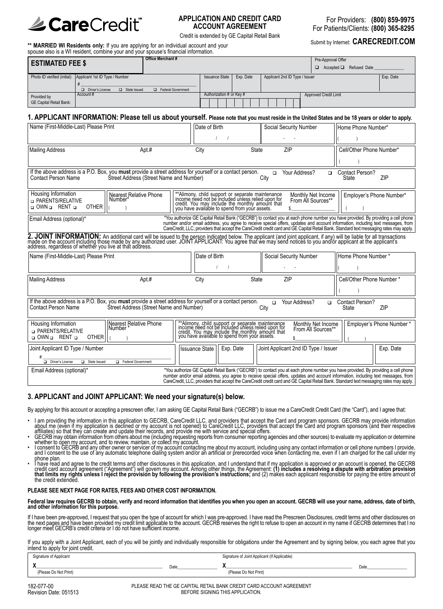

## **APPLICATION AND CREDIT CARD ACCOUNT AGREEMENT**

For Providers: **(800) 859-9975** For Patients/Clients: **(800) 365-8295**

Credit is extended by GE Capital Retail Bank<br>
Submit by Internet: **CARECREDIT.COM**<br>
Submit by Internet: **CARECREDIT.COM** 

**\*\* MARRIED WI Residents only:** If you are applying for an individual account and your spouse also is a WI resident, combine your and your spouse's financial information.

| <b>ESTIMATED FEE \$</b>        |                                                             | <b>Office Merchant #</b> |                          |           |                                | Pre-Approval Offer<br>$\Box$ Accepted $\Box$ Refused Date |           |
|--------------------------------|-------------------------------------------------------------|--------------------------|--------------------------|-----------|--------------------------------|-----------------------------------------------------------|-----------|
|                                | Photo ID verified (initial): Applicant 1st ID Type / Number |                          | <b>Issuance State</b>    | Exp. Date | Applicant 2nd ID Type / Issuer |                                                           | Exp. Date |
|                                |                                                             |                          |                          |           |                                |                                                           |           |
|                                | State Issued<br>Driver's License                            | Federal Government       |                          |           |                                |                                                           |           |
| Provided by                    | Account#                                                    |                          | Authorization # or Key # |           |                                | Approved Credit Limit                                     |           |
| <b>GE Capital Retail Bank:</b> |                                                             |                          |                          |           |                                |                                                           |           |

## 1. APPLICANT INFORMATION: Please tell us about yourself. Please note that you must reside in the United States and be 18 years or older to apply.

| Name (First-Middle-Last) Please Print                                                                                                        |                                                | Date of Birth                                                                                                                                                                                              | Social Security Number                                                                                                                                                                                                         | Home Phone Number*                                                                                                                                                                                                                                                         |
|----------------------------------------------------------------------------------------------------------------------------------------------|------------------------------------------------|------------------------------------------------------------------------------------------------------------------------------------------------------------------------------------------------------------|--------------------------------------------------------------------------------------------------------------------------------------------------------------------------------------------------------------------------------|----------------------------------------------------------------------------------------------------------------------------------------------------------------------------------------------------------------------------------------------------------------------------|
|                                                                                                                                              |                                                |                                                                                                                                                                                                            |                                                                                                                                                                                                                                |                                                                                                                                                                                                                                                                            |
|                                                                                                                                              |                                                |                                                                                                                                                                                                            |                                                                                                                                                                                                                                |                                                                                                                                                                                                                                                                            |
| <b>Mailing Address</b>                                                                                                                       | Apt.#                                          | City                                                                                                                                                                                                       | ZIP<br><b>State</b>                                                                                                                                                                                                            | Cell/Other Phone Number*                                                                                                                                                                                                                                                   |
|                                                                                                                                              |                                                |                                                                                                                                                                                                            |                                                                                                                                                                                                                                |                                                                                                                                                                                                                                                                            |
| If the above address is a P.O. Box, you must provide a street address for yourself or a contact person.<br><b>Contact Person Name</b>        | Street Address (Street Name and Number)        |                                                                                                                                                                                                            | Your Address?<br>$\Box$<br>City                                                                                                                                                                                                | Contact Person?<br>$\Box$<br>ZIP<br>State                                                                                                                                                                                                                                  |
| Housing Information                                                                                                                          | Nearest Relative Phone<br>Number*              |                                                                                                                                                                                                            | Monthly Net Income                                                                                                                                                                                                             | Employer's Phone Number*                                                                                                                                                                                                                                                   |
| <b>D</b> PARENTS/RELATIVE<br><b>OTHER</b><br>o OWN o RENT o                                                                                  |                                                | **Alimony, child support or separate maintenance income need not be included unless relied upon for credit. You may include the monthly amount that you have available to spend from your assets.          | From All Sources**                                                                                                                                                                                                             |                                                                                                                                                                                                                                                                            |
| Email Address (optional)*                                                                                                                    |                                                |                                                                                                                                                                                                            |                                                                                                                                                                                                                                | *You authorize GE Capital Retail Bank ("GECRB") to contact you at each phone number you have provided. By providing a cell phone                                                                                                                                           |
|                                                                                                                                              |                                                |                                                                                                                                                                                                            |                                                                                                                                                                                                                                | number and/or email address, you agree to receive special offers, updates and account information, including text messages, from<br>CareCredit, LLC, providers that accept the CareCredit credit card and GE Capital Retail Bank.                                          |
|                                                                                                                                              |                                                |                                                                                                                                                                                                            | 2. JOINT INFORMATION: An additional card will be issued to the person indicated below. The applicant (and joint applicant, if any) will be liable for all transactions made on the account including those made by any authori |                                                                                                                                                                                                                                                                            |
| Name (First-Middle-Last) Please Print                                                                                                        |                                                | Date of Birth                                                                                                                                                                                              | Social Security Number                                                                                                                                                                                                         | Home Phone Number*                                                                                                                                                                                                                                                         |
|                                                                                                                                              |                                                |                                                                                                                                                                                                            |                                                                                                                                                                                                                                |                                                                                                                                                                                                                                                                            |
| Mailing Address                                                                                                                              | Apt #                                          | City                                                                                                                                                                                                       | ZIP<br><b>State</b>                                                                                                                                                                                                            | Cell/Other Phone Number*                                                                                                                                                                                                                                                   |
|                                                                                                                                              |                                                |                                                                                                                                                                                                            |                                                                                                                                                                                                                                |                                                                                                                                                                                                                                                                            |
| If the above address is a P.O. Box, you <b>must</b> provide a street address for yourself or a contact person.<br><b>Contact Person Name</b> | <b>Street Address (Street Name and Number)</b> |                                                                                                                                                                                                            | Your Address?<br>$\Box$<br>City                                                                                                                                                                                                | Contact Person?<br>$\Box$<br>ZIP<br>State                                                                                                                                                                                                                                  |
| Housing Information<br><b>D PARENTS/RELATIVE</b><br>o OWN o RENT o<br><b>OTHER</b>                                                           | Nearest Relative Phone<br>Number *             | **Alimony, child support or separate maintenance<br>income need not be included ulhess relied upon for<br>credit. You may include the monthly amount that<br>you have available to spend from your assets. | Monthly Net Income<br>From All Sources**                                                                                                                                                                                       | Employer's Phone Number*                                                                                                                                                                                                                                                   |
| Joint Applicant ID Type / Number                                                                                                             |                                                | Exp. Date<br><b>Issuance State</b>                                                                                                                                                                         | Joint Applicant 2nd ID Type / Issuer                                                                                                                                                                                           | Exp. Date                                                                                                                                                                                                                                                                  |
| Driver's License<br>State Issued                                                                                                             | <b>E</b> Federal Government                    |                                                                                                                                                                                                            |                                                                                                                                                                                                                                |                                                                                                                                                                                                                                                                            |
| Email Address (optional)*                                                                                                                    |                                                |                                                                                                                                                                                                            |                                                                                                                                                                                                                                | *You authorize GE Capital Retail Bank ("GECRB") to contact you at each phone number you have provided. By providing a cell phone                                                                                                                                           |
|                                                                                                                                              |                                                |                                                                                                                                                                                                            |                                                                                                                                                                                                                                | number and/or email address, you agree to receive special offers, updates and account information, including text messages, from<br>CareCredit, LLC, providers that accept the CareCredit credit card and GE Capital Retail Bank. Standard text messaging rates may apply. |

### **3. APPLICANT and JOINT APPLICANT: We need your signature(s) below.**

By applying for this account or accepting a prescreen offer, I am asking GE Capital Retail Bank ("GECRB") to issue me a CareCredit Credit Card (the "Card"), and I agree that:

- I am providing the information in this application to GECRB, CareCredit LLC, and providers that accept the Card and program sponsors. GECRB may provide information<br>about me (even if my application is declined or my account
- about me (even if my application is declined or my account is not opened) to CareCredit LLC, providers that accept the Card and program sponsors (and their respective<br>- affiliates) so that they can create and update their
- From a country account contact ingention of my account contacting me about my account, including using any contact information or cell phone numbers I provide,<br>and I consent to the use of any automatic telephone dialing sy
- Thave fead and agree to the credit terms and other disclosures in this application, and I understand that if my application is approved or an account is opened, the GECRB<br>credit card account agreement ("Agreement") will go

#### **PLEASE SEE NEXT PAGE FOR RATES, FEES AND OTHER COST INFORMATION.**

Federal law requires GECRB to obtain, verify and record information that identifies you when you open an account. GECRB will use your name, address, date of birth,<br>and other information for this purpose.

If I have been pre-approved, I request that you open the type of account for which I was pre-approved. I have read the Prescreen Disclosures, credit terms and other disclosures on<br>the next pages and have been provided my c

If you apply with a Joint Applicant, each of you will be jointly and individually responsible for obligations under the Agreement and by signing below, you each agree that you intend to apply for joint credit.

| Signature of Applicant |      | Signature of Joint Applicant (If Applicable) |      |
|------------------------|------|----------------------------------------------|------|
| (Please Do Not Print)  | Date | (Please Do Not Print)                        | Date |

PLEASE READ THE GE CAPITAL RETAIL BANK CREDIT CARD ACCOUNT AGREEMENT BEFORE SIGNING THIS APPLICATION.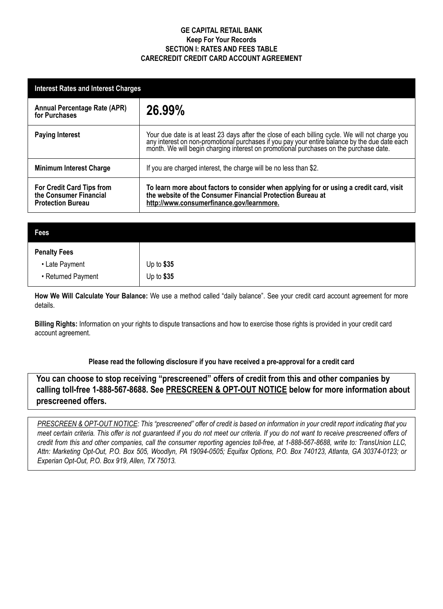## **GE CAPITAL RETAIL BANK Keep For Your Records SECTION I: RATES AND FEES TABLE Carecredit CREDIT CARD ACCOUNT AGREEMENT**

| <b>Interest Rates and Interest Charges</b>                                      |                                                                                                                                                                                                                                |  |  |
|---------------------------------------------------------------------------------|--------------------------------------------------------------------------------------------------------------------------------------------------------------------------------------------------------------------------------|--|--|
| Annual Percentage Rate (APR)<br>for Purchases                                   | 26.99%                                                                                                                                                                                                                         |  |  |
| <b>Paying Interest</b>                                                          | Your due date is at least 23 days after the close of each billing cycle. We will not charge you any interest on non-promotional purchases if you pay your entire balance by the due date each month. We will begin charging in |  |  |
| <b>Minimum Interest Charge</b>                                                  | If you are charged interest, the charge will be no less than \$2.                                                                                                                                                              |  |  |
| For Credit Card Tips from<br>the Consumer Financial<br><b>Protection Bureau</b> | To learn more about factors to consider when applying for or using a credit card, visit<br>the website of the Consumer Financial Protection Bureau at<br>http://www.consumerfinance.gov/learnmore.                             |  |  |

| <b>Fees</b>         |            |
|---------------------|------------|
| <b>Penalty Fees</b> |            |
| • Late Payment      | Up to \$35 |
| • Returned Payment  | Up to \$35 |

**How We Will Calculate Your Balance:** We use a method called "daily balance". See your credit card account agreement for more details.

**Billing Rights:** Information on your rights to dispute transactions and how to exercise those rights is provided in your credit card account agreement.

# **Please read the following disclosure if you have received a pre-approval for a credit card**

**You can choose to stop receiving "prescreened" offers of credit from this and other companies by calling toll-free 1-888-567-8688. See PRESCREEN & OPT-OUT NOTICE below for more information about prescreened offers.**

*PRESCREEN & OPT-OUT NOTICE: This "prescreened" offer of credit is based on information in your credit report indicating that you meet certain criteria. This offer is not guaranteed if you do not meet our criteria. If you do not want to receive prescreened offers of credit from this and other companies, call the consumer reporting agencies toll-free, at 1-888-567-8688, write to: TransUnion LLC, Attn: Marketing Opt-Out, P.O. Box 505, Woodlyn, PA 19094-0505; Equifax Options, P.O. Box 740123, Atlanta, GA 30374-0123; or Experian Opt-Out, P.O. Box 919, Allen, TX 75013.*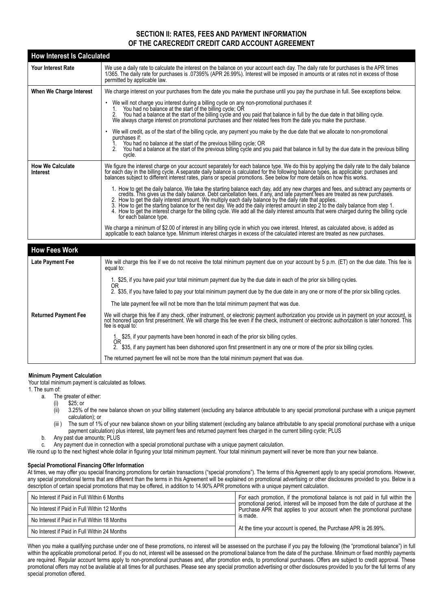## **SECTION II: RATES, FEES AND PAYMENT INFORMATION OF THE CARECREDIT CREDIT CARD ACCOUNT AGREEMENT**

| <b>How Interest Is Calculated</b>          |                                                                                                                                                                                                                                                                                                                                                                                                                                                                                                                                                                                                                                                      |
|--------------------------------------------|------------------------------------------------------------------------------------------------------------------------------------------------------------------------------------------------------------------------------------------------------------------------------------------------------------------------------------------------------------------------------------------------------------------------------------------------------------------------------------------------------------------------------------------------------------------------------------------------------------------------------------------------------|
| Your Interest Rate                         | We use a daily rate to calculate the interest on the balance on your account each day. The daily rate for purchases is the APR times<br>1/365. The daily rate for purchases is .07395% (APR 26.99%). Interest will be imposed in amounts or at rates not in excess of those<br>permitted by applicable law.                                                                                                                                                                                                                                                                                                                                          |
| When We Charge Interest                    | We charge interest on your purchases from the date you make the purchase until you pay the purchase in full. See exceptions below.                                                                                                                                                                                                                                                                                                                                                                                                                                                                                                                   |
|                                            | • We will not charge you interest during a billing cycle on any non-promotional purchases if:<br>You had no balance at the start of the billing cycle; OR<br>2. You had a balance at the start of the billing cycle and you paid that balance in full by the due date in that billing cycle.<br>We always charge interest on promotional purchases and their related fees from the date you ma                                                                                                                                                                                                                                                       |
|                                            | We will credit, as of the start of the billing cycle, any payment you make by the due date that we allocate to non-promotional<br>purchases if:                                                                                                                                                                                                                                                                                                                                                                                                                                                                                                      |
|                                            | You had no balance at the start of the previous billing cycle; OR<br>You had a balance at the start of the previous billing cycle and you paid that balance in full by the due date in the previous billing<br>cycle.                                                                                                                                                                                                                                                                                                                                                                                                                                |
| <b>How We Calculate</b><br><b>Interest</b> | We figure the interest charge on your account separately for each balance type. We do this by applying the daily rate to the daily balance<br>for each day in the billing cycle. A separate daily balance is calculated for the following balance types, as applicable: purchases and<br>balances subject to different interest rates, plans or special promotions. See below for more details on how this works.                                                                                                                                                                                                                                    |
|                                            | 1. How to get the daily balance. We take the starting balance each day, add any new charges and fees, and subtract any payments or credits. This gives us the daily balance. Debt cancellation fees, if any, and late payment<br>2. How to get the daily interest amount. We multiply each daily balance by the daily rate that applies.<br>3. How to get the starting balance for the next day. We add the daily interest amount in step 2 to the daily balance from step 1.<br>4. How to get the interest charge for the billing cycle. We add all the daily interest amounts that were charged during the billing cycle<br>for each balance type. |
|                                            | We charge a minimum of \$2.00 of interest in any billing cycle in which you owe interest. Interest, as calculated above, is added as<br>applicable to each balance type. Minimum interest charges in excess of the calculated interest are treated as new purchases.                                                                                                                                                                                                                                                                                                                                                                                 |
|                                            |                                                                                                                                                                                                                                                                                                                                                                                                                                                                                                                                                                                                                                                      |
| <b>How Fees Work</b>                       |                                                                                                                                                                                                                                                                                                                                                                                                                                                                                                                                                                                                                                                      |
| Late Payment Fee                           | We will charge this fee if we do not receive the total minimum payment due on your account by 5 p.m. (ET) on the due date. This fee is<br>equal to:                                                                                                                                                                                                                                                                                                                                                                                                                                                                                                  |
|                                            | 1. \$25, if you have paid your total minimum payment due by the due date in each of the prior six billing cycles.                                                                                                                                                                                                                                                                                                                                                                                                                                                                                                                                    |
|                                            | 0R<br>$\delta$ , $\delta$ 95, Harris Library and the second set of the second second should be seen as a second of the set of the set of the second                                                                                                                                                                                                                                                                                                                                                                                                                                                                                                  |

2. \$35, if you have failed to pay your total minimum payment due by the due date in any one or more of the prior six billing cycles.

The late payment fee will not be more than the total minimum payment that was due.

Returned Payment Fee | We will charge this fee if any check, other instrument, or electronic payment authorization you provide us in payment on your account, is<br>not honored upon first presentment. We will charge this fee e fee is equal to:

1. \$25, if your payments have been honored in each of the prior six billing cycles.<br>OR<br>2. \$35, if any payment has been dishonored upon first presentment in any one or

\$35, if any payment has been dishonored upon first presentment in any one or more of the prior six billing cycles.

The returned payment fee will not be more than the total minimum payment that was due.

### **Minimum Payment Calculation**

Your total minimum payment is calculated as follows.

1. The sum of:

- a. The greater of either:
	- (i) \$25; or
	- $\langle \hat{i}i \rangle$  3.25% of the new balance shown on your billing statement (excluding any balance attributable to any special promotional purchase with a unique payment calculation); or
	- The sum of 1% of your new balance shown on your billing statement (excluding any balance attributable to any special promotional purchase with a unique payment calculation) plus interest, late payment fees and returned payment fees charged in the current billing cycle; PLUS
- b. Any past due amounts; PLUS

c. Any payment due in connection with a special promotional purchase with a unique payment calculation.

We round up to the next highest whole dollar in figuring your total minimum payment. Your total minimum payment will never be more than your new balance.

#### **Special Promotional Financing Offer Information**

At times, we may offer you special financing promotions for certain transactions ("special promotions"). The terms of this Agreement apply to any special promotions. However, any special promotional terms that are different than the terms in this Agreement will be explained on promotional advertising or other disclosures provided to you. Below is a description of certain special promotions that may be offered, in addition to 14.90% APR promotions with a unique payment calculation.

| No Interest if Paid in Full Within 6 Months  | For each promotion, if the promotional balance is not paid in full within the                                                                            |  |
|----------------------------------------------|----------------------------------------------------------------------------------------------------------------------------------------------------------|--|
| No Interest if Paid in Full Within 12 Months | promotional period, interest will be imposed from the date of purchase at the<br>Purchase APR that applies to your account when the promotional purchase |  |
| No Interest if Paid in Full Within 18 Months | is made.                                                                                                                                                 |  |
| No Interest if Paid in Full Within 24 Months | At the time your account is opened, the Purchase APR is 26.99%.                                                                                          |  |

When you make a qualifying purchase under one of these promotions, no interest will be assessed on the purchase if you pay the following (the "promotional balance") in full within the applicable promotional period. If you do not, interest will be assessed on the promotional balance from the date of the purchase. Minimum or fixed monthly payments are required. Regular account terms apply to non-promotional purchases and, after promotion ends, to promotional purchases. Offers are subject to credit approval. These promotional offers may not be available at all times for all purchases. Please see any special promotion advertising or other disclosures provided to you for the full terms of any special promotion offered.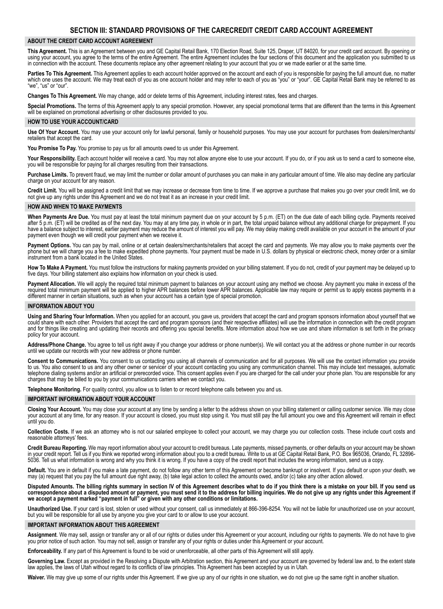#### **ABOUT THE CREDIT CARD ACCOUNT AGREEMENT**

**This Agreement.** This is an Agreement between you and GE Capital Retail Bank, 170 Election Road, Suite 125, Draper, UT 84020, for your credit card account. By opening or using your account, you agree to the terms of the entire Agreement. The entire Agreement includes the four sections of this document and the application you submitted to us in connection with the account. These documents replace any other agreement relating to your account that you or we made earlier or at the same time.

Parties To This Agreement. This Agreement applies to each account holder approved on the account and each of you is responsible for paying the full amount due, no matter which one uses the account. We may treat each of you as one account holder and may refer to each of you as "you" or "your". GE Capital Retail Bank may be referred to as "we", "us" or "our".

**Changes To This Agreement.** We may change, add or delete terms of this Agreement, including interest rates, fees and charges.

Special Promotions. The terms of this Agreement apply to any special promotion. However, any special promotional terms that are different than the terms in this Agreement will be explained on promotional advertising or other disclosures provided to you.

#### **HOW TO USE YOUR ACCOUNT/CARD**

**Use Of Your Account.** You may use your account only for lawful personal, family or household purposes. You may use your account for purchases from dealers/merchants/ retailers that accept the card.

**You Promise To Pay.** You promise to pay us for all amounts owed to us under this Agreement.

Your Responsibility. Each account holder will receive a card. You may not allow anyone else to use your account. If you do, or if you ask us to send a card to someone else, you will be responsible for paying for all charges resulting from their transactions.

**Purchase Limits.** To prevent fraud, we may limit the number or dollar amount of purchases you can make in any particular amount of time. We also may decline any particular charge on your account for any reason.

**Credit Limit.** You will be assigned a credit limit that we may increase or decrease from time to time. If we approve a purchase that makes you go over your credit limit, we do not give up any rights under this Agreement and we do not treat it as an increase in your credit limit.

#### **HOW AND WHEN TO MAKE PAYMENTS**

**When Payments Are Due.** You must pay at least the total minimum payment due on your account by 5 p.m. (ET) on the due date of each billing cycle. Payments received after 5 p.m. (ET) will be credited as of the next day. You may at any time pay, in whole or in part, the total unpaid balance without any additional charge for prepayment. If you have a balance subject to interest, earlier payment may reduce the amount of interest you will pay. We may delay making credit available on your account in the amount of your payment even though we will credit your payment when we receive it.

Payment Options. You can pay by mail, online or at certain dealers/merchants/retailers that accept the card and payments. We may allow you to make payments over the phone but we will charge you a fee to make expedited phone payments. Your payment must be made in U.S. dollars by physical or electronic check, money order or a similar instrument from a bank located in the United States.

**How To Make A Payment.** You must follow the instructions for making payments provided on your billing statement. If you do not, credit of your payment may be delayed up to five days. Your billing statement also explains how information on your check is used.

Payment Allocation. We will apply the required total minimum payment to balances on your account using any method we choose. Any payment you make in excess of the required total minimum payment will be applied to higher APR balances before lower APR balances. Applicable law may require or permit us to apply excess payments in a different manner in certain situations, such as when your account has a certain type of special promotion.

#### **INFORMATION ABOUT YOU**

**Using and Sharing Your Information.** When you applied for an account, you gave us, providers that accept the card and program sponsors information about yourself that we could share with each other. Providers that accept the card and program sponsors (and their respective affiliates) will use the information in connection with the credit program and for things like creating and updating their records and offering you special benefits. More information about how we use and share information is set forth in the privacy policy for your account.

**Address/Phone Change.** You agree to tell us right away if you change your address or phone number(s). We will contact you at the address or phone number in our records until we update our records with your new address or phone number.

**Consent to Communications.** You consent to us contacting you using all channels of communication and for all purposes. We will use the contact information you provide to us. You also consent to us and any other owner or servicer of your account contacting you using any communication channel. This may include text messages, automatic telephone dialing systems and/or an artificial or prerecorded voice. This consent applies even if you are charged for the call under your phone plan. You are responsible for any charges that may be billed to you by your communications carriers when we contact you.

**Telephone Monitoring.** For quality control, you allow us to listen to or record telephone calls between you and us.

#### **IMPORTANT INFORMATION ABOUT YOUR ACCOUNT**

**Closing Your Account.** You may close your account at any time by sending a letter to the address shown on your billing statement or calling customer service. We may close your account at any time, for any reason. If your account is closed, you must stop using it. You must still pay the full amount you owe and this Agreement will remain in effect until you do.

**Collection Costs.** If we ask an attorney who is not our salaried employee to collect your account, we may charge you our collection costs. These include court costs and reasonable attorneys' fees.

**Credit Bureau Reporting.** We may report information about your account to credit bureaus. Late payments, missed payments, or other defaults on your account may be shown in your credit report. Tell us if you think we reported wrong information about you to a credit bureau. Write to us at GE Capital Retail Bank, P.O. Box 965036, Orlando, FL 32896- 5036. Tell us what information is wrong and why you think it is wrong. If you have a copy of the credit report that includes the wrong information, send us a copy.

**Default.** You are in default if you make a late payment, do not follow any other term of this Agreement or become bankrupt or insolvent. If you default or upon your death, we may (a) request that you pay the full amount due right away, (b) take legal action to collect the amounts owed, and/or (c) take any other action allowed.

Disputed Amounts. The billing rights summary in section IV of this Agreement describes what to do if you think there is a mistake on your bill. If you send us correspondence about a disputed amount or payment, you must send it to the address for billing inquiries. We do not give up any rights under this Agreement if **we accept a payment marked "payment in full" or given with any other conditions or limitations.**

**Unauthorized Use.** If your card is lost, stolen or used without your consent, call us immediately at 866-396-8254. You will not be liable for unauthorized use on your account, but you will be responsible for all use by anyone you give your card to or allow to use your account.

#### **IMPORTANT INFORMATION ABOUT THIS AGREEMENT**

**Assignment**. We may sell, assign or transfer any or all of our rights or duties under this Agreement or your account, including our rights to payments. We do not have to give you prior notice of such action. You may not sell, assign or transfer any of your rights or duties under this Agreement or your account.

**Enforceability.** If any part of this Agreement is found to be void or unenforceable, all other parts of this Agreement will still apply.

**Governing Law.** Except as provided in the Resolving a Dispute with Arbitration section, this Agreement and your account are governed by federal law and, to the extent state law applies, the laws of Utah without regard to its conflicts of law principles. This Agreement has been accepted by us in Utah.

**Waiver.** We may give up some of our rights under this Agreement. If we give up any of our rights in one situation, we do not give up the same right in another situation.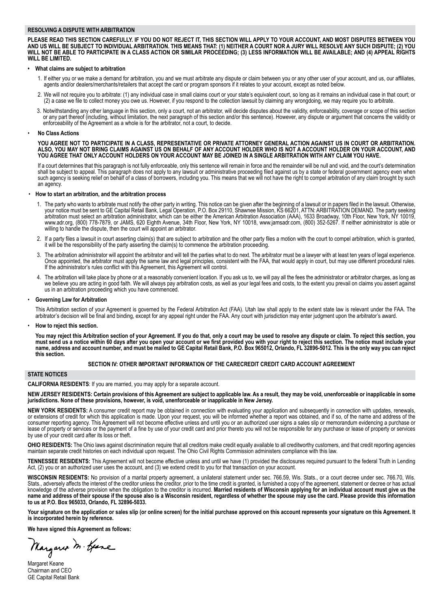#### **RESOLVING A DISPUTE WITH ARBITRATION**

**PLEASE READ THIS SECTION CAREFULLY. IF YOU DO NOT REJECT IT, THIS SECTION WILL APPLY TO YOUR ACCOUNT, AND MOST DISPUTES BETWEEN YOU** AND US WILL BE SUBJECT TO INDIVIDUAL ARBITRATION. THIS MEANS THAT: (1) NEITHER A COURT NOR A JURY WILL RESOLVE ANY SUCH DISPUTE; (2) YOU WILL NOT BE ABLE TO PARTICIPATE IN A CLASS ACTION OR SIMILAR PROCEEDING; (3) LESS INFORMATION WILL BE AVAILABLE; AND (4) APPEAL RIGHTS **WILL BE LIMITED.**

#### **• What claims are subject to arbitration**

- 1. If either you or we make a demand for arbitration, you and we must arbitrate any dispute or claim between you or any other user of your account, and us, our affiliates, agents and/or dealers/merchants/retailers that accept the card or program sponsors if it relates to your account, except as noted below.
- 2. We will not require you to arbitrate: (1) any individual case in small claims court or your state's equivalent court, so long as it remains an individual case in that court; or (2) a case we file to collect money you owe us. However, if you respond to the collection lawsuit by claiming any wrongdoing, we may require you to arbitrate.
- 3. Notwithstanding any other language in this section, only a court, not an arbitrator, will decide disputes about the validity, enforceability, coverage or scope of this section or any part thereof (including, without limitation, the next paragraph of this section and/or this sentence). However, any dispute or argument that concerns the validity or enforceability of the Agreement as a whole is for the arbitrator, not a court, to decide.

#### • **No Class Actions**

 **YOU AGREE NOT TO PARTICIPATE IN A CLASS, REPRESENTATIVE OR PRIVATE ATTORNEY GENERAL ACTION AGAINST US IN COURT OR ARBITRATION. ALSO, YOU MAY NOT BRING CLAIMS AGAINST US ON BEHALF OF ANY ACCOUNT HOLDER WHO IS NOT A ACCOUNT HOLDER ON YOUR ACCOUNT, AND YOU AGREE THAT ONLY ACCOUNT HOLDERS ON YOUR ACCOUNT MAY BE JOINED IN A SINGLE ARBITRATION WITH ANY CLAIM YOU HAVE.**

If a court determines that this paragraph is not fully enforceable, only this sentence will remain in force and the remainder will be null and void, and the court's determination shall be subject to appeal. This paragraph does not apply to any lawsuit or administrative proceeding filed against us by a state or federal government agency even when such agency is seeking relief on behalf of a class of borrowers, including you. This means that we will not have the right to compel arbitration of any claim brought by such an agency.

#### • **How to start an arbitration, and the arbitration process**

- 1. The party who wants to arbitrate must notify the other party in writing. This notice can be given after the beginning of a lawsuit or in papers filed in the lawsuit. Otherwise, your notice must be sent to GE Capital Retail Bank, Legal Operation, P.O. Box 29110, Shawnee Mission, KS 66201, ATTN: ARBITRATION DEMAND. The party seeking<br>arbitration must select an arbitration administrator, which can be willing to handle the dispute, then the court will appoint an arbitrator.
- 2. If a party files a lawsuit in court asserting claim(s) that are subject to arbitration and the other party files a motion with the court to compel arbitration, which is granted, it will be the responsibility of the party asserting the claim(s) to commence the arbitration proceeding.
- 3. The arbitration administrator will appoint the arbitrator and will tell the parties what to do next. The arbitrator must be a lawyer with at least ten years of legal experience. Once appointed, the arbitrator must apply the same law and legal principles, consistent with the FAA, that would apply in court, but may use different procedural rules. If the administrator's rules conflict with this Agreement, this Agreement will control.
- 4. The arbitration will take place by phone or at a reasonably convenient location. If you ask us to, we will pay all the fees the administrator or arbitrator charges, as long as we believe you are acting in good faith. We will always pay arbitration costs, as well as your legal fees and costs, to the extent you prevail on claims you assert against us in an arbitration proceeding which you have commenced.

#### **Governing Law for Arbitration**

 This Arbitration section of your Agreement is governed by the Federal Arbitration Act (FAA). Utah law shall apply to the extent state law is relevant under the FAA. The arbitrator's decision will be final and binding, except for any appeal right under the FAA. Any court with jurisdiction may enter judgment upon the arbitrator's award.

• **How to reject this section.**

You may reject this Arbitration section of your Agreement. If you do that, only a court may be used to resolve any dispute or claim. To reject this section, you must send us a notice within 60 days after you open your account or we first provided you with your right to reject this section. The notice must include your name, address and account number, and must be mailed to GE Capital Retail Bank, P.O. Box 965012, Orlando, FL 32896-5012. This is the only way you can reject **this section.**

#### **SECTION IV: OTHER IMPORTANT INFORMATION OF THE CARECREDIT CREDIT CARD ACCOUNT AGREEMENT**

#### **STATE NOTICES**

**CALIFORNIA Residents**: If you are married, you may apply for a separate account.

NEW JERSEY RESIDENTS: Certain provisions of this Agreement are subject to applicable law. As a result, they may be void, unenforceable or inapplicable in some **jurisdictions. None of these provisions, however, is void, unenforceable or inapplicable in New Jersey.**

**NEW YORK Residents:** A consumer credit report may be obtained in connection with evaluating your application and subsequently in connection with updates, renewals, or extensions of credit for which this application is made. Upon your request, you will be informed whether a report was obtained, and if so, of the name and address of the consumer reporting agency. This Agreement will not become effective unless and until you or an authorized user signs a sales slip or memorandum evidencing a purchase or lease of property or services or the payment of a fine by use of your credit card and prior thereto you will not be responsible for any purchase or lease of property or services by use of your credit card after its loss or theft.

**OHIO Residents:** The Ohio laws against discrimination require that all creditors make credit equally available to all creditworthy customers, and that credit reporting agencies maintain separate credit histories on each individual upon request. The Ohio Civil Rights Commission administers compliance with this law.

**TENNESSEE RESIDENTS:** This Agreement will not become effective unless and until we have (1) provided the disclosures required pursuant to the federal Truth in Lending Act, (2) you or an authorized user uses the account, and (3) we extend credit to you for that transaction on your account.

**WISCONSIN RESIDENTS:** No provision of a marital property agreement, a unilateral statement under sec. 766.59, Wis. Stats., or a court decree under sec. 766.70, Wis. Stats., adversely affects the interest of the creditor unless the creditor, prior to the time credit is granted, is furnished a copy of the agreement, statement or decree or has actual<br>knowledge of the adverse provision wh name and address of their spouse if the spouse also is a Wisconsin resident, regardless of whether the spouse may use the card. Please provide this information **to us at P.O. Box 965033, Orlando, FL 32896-5033.**

Your signature on the application or sales slip (or online screen) for the initial purchase approved on this account represents your signature on this Agreement. It **is incorporated herein by reference.**

**We have signed this Agreement as follows:**

Margaret M. Gene

Margaret Keane Chairman and CEO GE Capital Retail Bank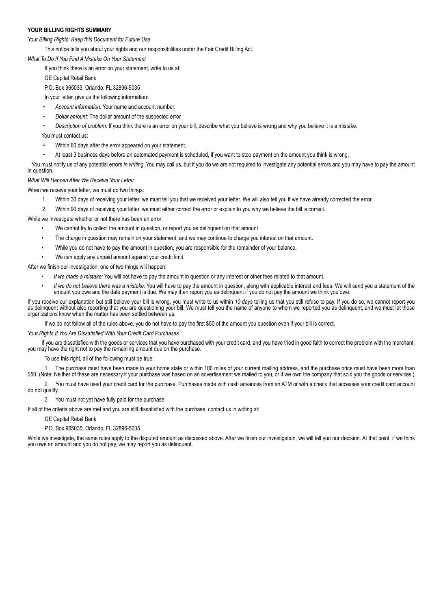### **YOUR BILLING RIGHTS SUMMARY**

*Your Billing Rights: Keep this Document for Future Use*

 This notice tells you about your rights and our responsibilities under the Fair Credit Billing Act.

*What To Do If You Find A Mistake On Your Statement*

If you think there is an error on your statement, write to us at:

GE Capital Retail Bank

 P.O. Box 965035, Orlando, FL 32896-5035

In your letter, give us the following information:

- Account information: Your name and account number.
- Dollar amount: The dollar amount of the suspected error.

Description of problem: If you think there is an error on your bill, describe what you believe is wrong and why you believe it is a mistake.

You must contact us:

- Within 60 days after the error appeared on your statement.
- At least 3 business days before an automated payment is scheduled, if you want to stop payment on the amount you think is wrong.

You must notify us of any potential errors *in writing.* You may call us, but if you do we are not required to investigate any potential errors and you may have to pay the amount in question.

*What Will Happen After We Receive Your Letter*

When we receive your letter, we must do two things:

- 1. Within 30 days of receiving your letter, we must tell you that we received your letter. We will also tell you if we have already corrected the error.
- 2. Within 90 days of receiving your letter, we must either correct the error or explain to you why we believe the bill is correct.

While we investigate whether or not there has been an error:

- We cannot try to collect the amount in question, or report you as delinquent on that amount.
- The charge in question may remain on your statement, and we may continue to charge you interest on that amount.
- While you do not have to pay the amount in question, you are responsible for the remainder of your balance.
- We can apply any unpaid amount against your credit limit.

After we finish our investigation, one of two things will happen:

- If we made a mistake: You will not have to pay the amount in question or any interest or other fees related to that amount.
- If we do not believe there was a mistake: You will have to pay the amount in question, along with applicable interest and fees. We will send you a statement of the amount you owe and the date payment is due. We may then report you as delinquent if you do not pay the amount we think you owe.

If you receive our explanation but still believe your bill is wrong, you must write to us within *10 days* telling us that you still refuse to pay. If you do so, we cannot report you as delinquent without also reporting that you are questioning your bill. We must tell you the name of anyone to whom we reported you as delinquent, and we must let those organizations know when the matter has been settled between us.

 If we do not follow all of the rules above, you do not have to pay the first \$50 of the amount you question even if your bill is correct.

*Your Rights If You Are Dissatisfied With Your Credit Card Purchases*

 If you are dissatisfied with the goods or services that you have purchased with your credit card, and you have tried in good faith to correct the problem with the merchant, you may have the right not to pay the remaining amount due on the purchase.

 To use this right, all of the following must be true:

1. The purchase must have been made in your home state or within 100 miles of your current mailing address, and the purchase price must have been more than \$50. (Note: Neither of these are necessary if your purchase was based on an advertisement we mailed to you, or if we own the company that sold you the goods or services.)

2. You must have used your credit card for the purchase. Purchases made with cash advances from an ATM or with a check that accesses your credit card account do not qualify.

3. You must not yet have fully paid for the purchase.

If all of the criteria above are met and you are still dissatisfied with the purchase, contact us in writing at:

GE Capital Retail Bank

 P.O. Box 965035, Orlando, FL 32896-5035

While we investigate, the same rules apply to the disputed amount as discussed above. After we finish our investigation, we will tell you our decision. At that point, if we think you owe an amount and you do not pay, we may report you as delinquent.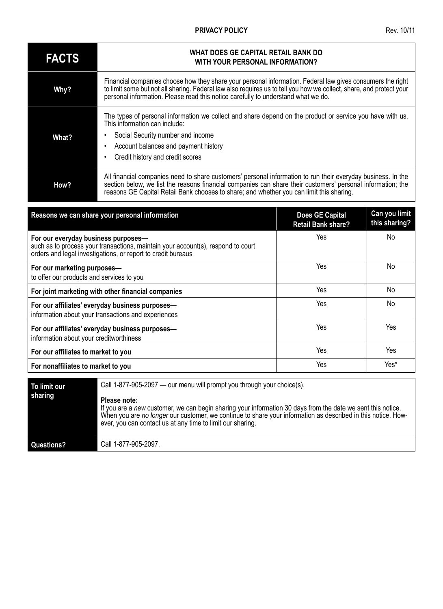# **PRIVACY POLICY** Rev. 10/11

| <b>FACTS</b> | WHAT DOES GE CAPITAL RETAIL BANK DO<br>WITH YOUR PERSONAL INFORMATION?                                                                                                                                                                                                                                                  |
|--------------|-------------------------------------------------------------------------------------------------------------------------------------------------------------------------------------------------------------------------------------------------------------------------------------------------------------------------|
| Why?         | Financial companies choose how they share your personal information. Federal law gives consumers the right<br>to limit some but not all sharing. Federal law also requires us to tell you how we collect, share, and protect your<br>personal information. Please read this notice carefully to understand what we do.  |
| What?        | The types of personal information we collect and share depend on the product or service you have with us.<br>This information can include:<br>Social Security number and income<br>Account balances and payment history<br>Credit history and credit scores                                                             |
| How?         | All financial companies need to share customers' personal information to run their everyday business. In the<br>section below, we list the reasons financial companies can share their customers' personal information; the<br>reasons GE Capital Retail Bank chooses to share; and whether you can limit this sharing. |

| Reasons we can share your personal information                                                                                                                                          | <b>Does GE Capital</b><br><b>Retail Bank share?</b> | Can you limit<br>this sharing? |
|-----------------------------------------------------------------------------------------------------------------------------------------------------------------------------------------|-----------------------------------------------------|--------------------------------|
| For our everyday business purposes-<br>such as to process your transactions, maintain your account(s), respond to court<br>orders and legal investigations, or report to credit bureaus | Yes                                                 | No                             |
| For our marketing purposes-<br>to offer our products and services to you                                                                                                                | Yes                                                 | No                             |
| For joint marketing with other financial companies                                                                                                                                      | Yes                                                 | No                             |
| For our affiliates' everyday business purposes-<br>information about your transactions and experiences                                                                                  | Yes                                                 | No                             |
| For our affiliates' everyday business purposes-<br>information about your creditworthiness                                                                                              | Yes                                                 | Yes                            |
| For our affiliates to market to you                                                                                                                                                     | Yes                                                 | Yes                            |
| For nonaffiliates to market to you                                                                                                                                                      | Yes                                                 | Yes*                           |

| To limit our<br>sharing | Call 1-877-905-2097 — our menu will prompt you through your choice(s).<br>Please note:<br>If you are a new customer, we can begin sharing your information 30 days from the date we sent this notice.<br>When you are no longer our customer, we continue to share your information as described in this notice. How-<br>ever, you can contact us at any time to limit our sharing. |
|-------------------------|-------------------------------------------------------------------------------------------------------------------------------------------------------------------------------------------------------------------------------------------------------------------------------------------------------------------------------------------------------------------------------------|
| Questions?              | Call 1-877-905-2097.                                                                                                                                                                                                                                                                                                                                                                |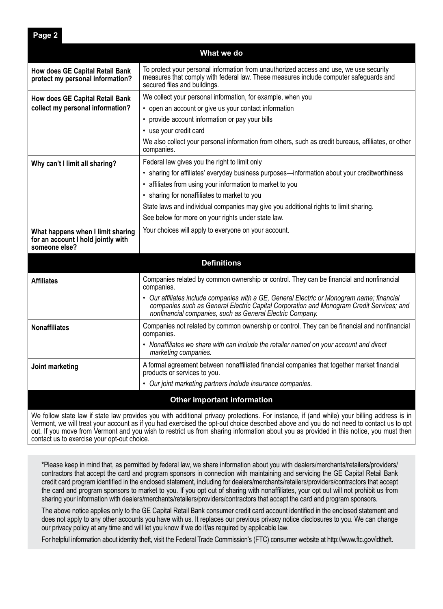**What we do How does GE Capital Retail Bank protect my personal information?** To protect your personal information from unauthorized access and use, we use security measures that comply with federal law. These measures include computer safeguards and secured files and buildings. **How does GE Capital Retail Bank collect my personal information?** We collect your personal information, for example, when you • open an account or give us your contact information • provide account information or pay your bills • use your credit card We also collect your personal information from others, such as credit bureaus, affiliates, or other companies. **Why can't I limit all sharing?** Federal law gives you the right to limit only • sharing for affiliates' everyday business purposes—information about your creditworthiness • affiliates from using your information to market to you • sharing for nonaffiliates to market to you State laws and individual companies may give you additional rights to limit sharing. See below for more on your rights under state law. **What happens when I limit sharing for an account I hold jointly with someone else?** Your choices will apply to everyone on your account. **Definitions Affiliates** Companies related by common ownership or control. They can be financial and nonfinancial companies. • *Our affiliates include companies with a GE, General Electric or Monogram name; financial companies such as General Electric Capital Corporation and Monogram Credit Services; and nonfinancial companies, such as General Electric Company.* **Nonaffiliates** Companies not related by common ownership or control. They can be financial and nonfinancial companies. • *Nonaffiliates we share with can include the retailer named on your account and direct marketing companies.* **Joint marketing A** formal agreement between nonaffiliated financial companies that together market financial products or services to you. • *Our joint marketing partners include insurance companies.* **Other important information**

We follow state law if state law provides you with additional privacy protections. For instance, if (and while) your billing address is in Vermont, we will treat your account as if you had exercised the opt-out choice described above and you do not need to contact us to opt out. If you move from Vermont and you wish to restrict us from sharing information about you as provided in this notice, you must then contact us to exercise your opt-out choice.

\*Please keep in mind that, as permitted by federal law, we share information about you with dealers/merchants/retailers/providers/ contractors that accept the card and program sponsors in connection with maintaining and servicing the GE Capital Retail Bank credit card program identified in the enclosed statement, including for dealers/merchants/retailers/providers/contractors that accept the card and program sponsors to market to you. If you opt out of sharing with nonaffiliates, your opt out will not prohibit us from sharing your information with dealers/merchants/retailers/providers/contractors that accept the card and program sponsors.

The above notice applies only to the GE Capital Retail Bank consumer credit card account identified in the enclosed statement and does not apply to any other accounts you have with us. It replaces our previous privacy notice disclosures to you. We can change our privacy policy at any time and will let you know if we do if/as required by applicable law.

For helpful information about identity theft, visit the Federal Trade Commission's (FTC) consumer website at http://www.ftc.gov/idtheft.